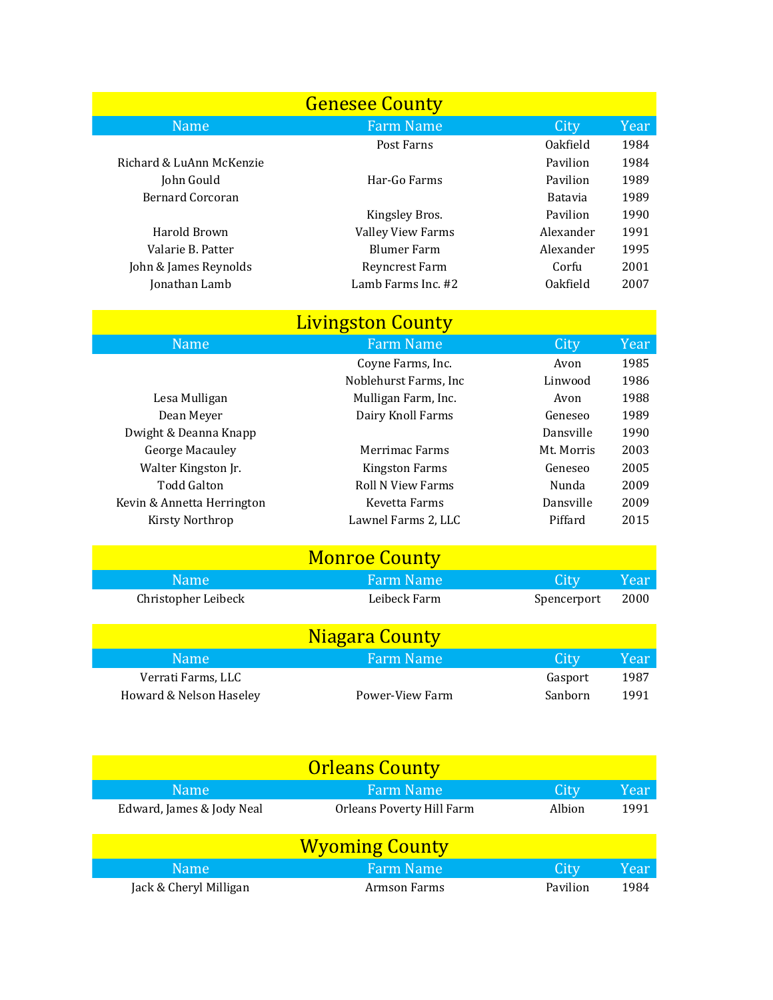|                            | <b>Genesee County</b>            |             |             |  |  |  |
|----------------------------|----------------------------------|-------------|-------------|--|--|--|
| <b>Name</b>                | <b>Farm Name</b>                 | City        | <b>Year</b> |  |  |  |
|                            | Post Farns                       | Oakfield    | 1984        |  |  |  |
| Richard & LuAnn McKenzie   |                                  | Pavilion    | 1984        |  |  |  |
| John Gould                 | Har-Go Farms                     | Pavilion    | 1989        |  |  |  |
| <b>Bernard Corcoran</b>    |                                  | Batavia     | 1989        |  |  |  |
|                            | Kingsley Bros.                   | Pavilion    | 1990        |  |  |  |
| Harold Brown               | <b>Valley View Farms</b>         | Alexander   | 1991        |  |  |  |
| Valarie B. Patter          | <b>Blumer Farm</b>               | Alexander   | 1995        |  |  |  |
| John & James Reynolds      | Reyncrest Farm                   | Corfu       | 2001        |  |  |  |
| Jonathan Lamb              | Lamb Farms Inc. #2               | Oakfield    | 2007        |  |  |  |
|                            | <b>Livingston County</b>         |             |             |  |  |  |
| <b>Name</b>                | <b>Farm Name</b>                 | City        | <b>Year</b> |  |  |  |
|                            | Coyne Farms, Inc.                | Avon        | 1985        |  |  |  |
|                            | Noblehurst Farms, Inc            | Linwood     | 1986        |  |  |  |
| Lesa Mulligan              | Mulligan Farm, Inc.              | Avon        | 1988        |  |  |  |
| Dean Meyer                 | Dairy Knoll Farms                | Geneseo     | 1989        |  |  |  |
| Dwight & Deanna Knapp      |                                  | Dansville   | 1990        |  |  |  |
| <b>George Macauley</b>     | Merrimac Farms                   | Mt. Morris  | 2003        |  |  |  |
| Walter Kingston Jr.        | <b>Kingston Farms</b>            | Geneseo     | 2005        |  |  |  |
| <b>Todd Galton</b>         | <b>Roll N View Farms</b>         | Nunda       | 2009        |  |  |  |
| Kevin & Annetta Herrington | Kevetta Farms                    | Dansville   | 2009        |  |  |  |
| Kirsty Northrop            | Lawnel Farms 2, LLC              | Piffard     | 2015        |  |  |  |
|                            | <b>Monroe County</b>             |             |             |  |  |  |
| <b>Name</b>                | <b>Farm Name</b>                 | City        | <b>Year</b> |  |  |  |
| Christopher Leibeck        | Leibeck Farm                     | Spencerport | 2000        |  |  |  |
|                            |                                  |             |             |  |  |  |
|                            | Niagara County                   |             |             |  |  |  |
| Name                       | <b>Farm Name</b>                 | City        | Year        |  |  |  |
| Verrati Farms, LLC         |                                  | Gasport     | 1987        |  |  |  |
| Howard & Nelson Haseley    | Power-View Farm                  | Sanborn     | 1991        |  |  |  |
|                            |                                  |             |             |  |  |  |
|                            |                                  |             |             |  |  |  |
| <b>Orleans County</b>      |                                  |             |             |  |  |  |
| <b>Name</b>                | <b>Farm Name</b>                 | City        | Year        |  |  |  |
| Edward, James & Jody Neal  | <b>Orleans Poverty Hill Farm</b> | Albion      | 1991        |  |  |  |

|                        | <b>Wyoming County</b> |             |      |
|------------------------|-----------------------|-------------|------|
| Name:                  | <b>Farm Name</b>      | <b>City</b> | Year |
| Jack & Cheryl Milligan | Armson Farms          | Pavilion    | 1984 |